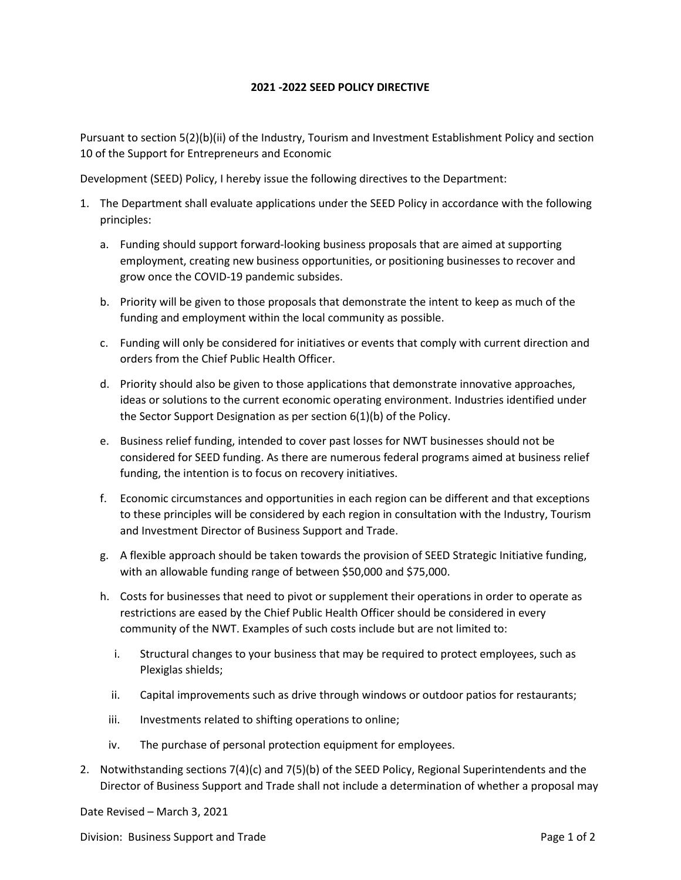## **2021 -2022 SEED POLICY DIRECTIVE**

Pursuant to section 5(2)(b)(ii) of the Industry, Tourism and Investment Establishment Policy and section 10 of the Support for Entrepreneurs and Economic

Development (SEED) Policy, I hereby issue the following directives to the Department:

- 1. The Department shall evaluate applications under the SEED Policy in accordance with the following principles:
	- a. Funding should support forward-looking business proposals that are aimed at supporting employment, creating new business opportunities, or positioning businesses to recover and grow once the COVID-19 pandemic subsides.
	- b. Priority will be given to those proposals that demonstrate the intent to keep as much of the funding and employment within the local community as possible.
	- c. Funding will only be considered for initiatives or events that comply with current direction and orders from the Chief Public Health Officer.
	- d. Priority should also be given to those applications that demonstrate innovative approaches, ideas or solutions to the current economic operating environment. Industries identified under the Sector Support Designation as per section 6(1)(b) of the Policy.
	- e. Business relief funding, intended to cover past losses for NWT businesses should not be considered for SEED funding. As there are numerous federal programs aimed at business relief funding, the intention is to focus on recovery initiatives.
	- f. Economic circumstances and opportunities in each region can be different and that exceptions to these principles will be considered by each region in consultation with the Industry, Tourism and Investment Director of Business Support and Trade.
	- g. A flexible approach should be taken towards the provision of SEED Strategic Initiative funding, with an allowable funding range of between \$50,000 and \$75,000.
	- h. Costs for businesses that need to pivot or supplement their operations in order to operate as restrictions are eased by the Chief Public Health Officer should be considered in every community of the NWT. Examples of such costs include but are not limited to:
		- i. Structural changes to your business that may be required to protect employees, such as Plexiglas shields;
		- ii. Capital improvements such as drive through windows or outdoor patios for restaurants;
		- iii. Investments related to shifting operations to online;
		- iv. The purchase of personal protection equipment for employees.
- 2. Notwithstanding sections 7(4)(c) and 7(5)(b) of the SEED Policy, Regional Superintendents and the Director of Business Support and Trade shall not include a determination of whether a proposal may

Date Revised – March 3, 2021